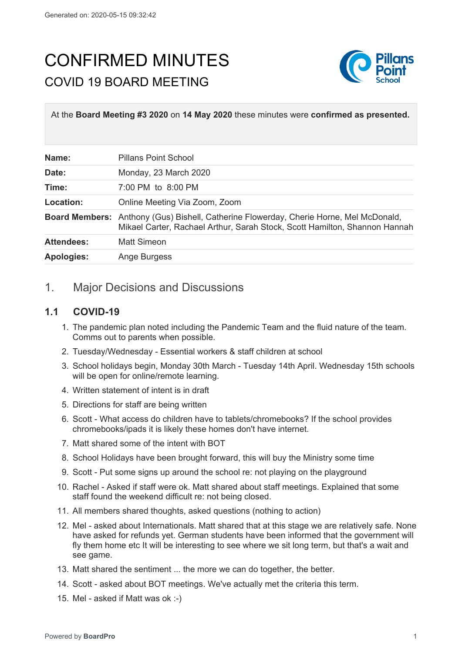## CONFIRMED MINUTES COVID 19 BOARD MEETING



At the **Board Meeting #3 2020** on **14 May 2020** these minutes were **confirmed as presented.**

| Name:             | <b>Pillans Point School</b>                                                                                                                                                 |
|-------------------|-----------------------------------------------------------------------------------------------------------------------------------------------------------------------------|
| Date:             | Monday, 23 March 2020                                                                                                                                                       |
| Time:             | 7:00 PM to 8:00 PM                                                                                                                                                          |
| Location:         | Online Meeting Via Zoom, Zoom                                                                                                                                               |
|                   | <b>Board Members:</b> Anthony (Gus) Bishell, Catherine Flowerday, Cherie Horne, Mel McDonald,<br>Mikael Carter, Rachael Arthur, Sarah Stock, Scott Hamilton, Shannon Hannah |
| <b>Attendees:</b> | <b>Matt Simeon</b>                                                                                                                                                          |
| <b>Apologies:</b> | Ange Burgess                                                                                                                                                                |

## 1. Major Decisions and Discussions

## **1.1 COVID-19**

- 1. The pandemic plan noted including the Pandemic Team and the fluid nature of the team. Comms out to parents when possible.
- 2. Tuesday/Wednesday Essential workers & staff children at school
- 3. School holidays begin, Monday 30th March Tuesday 14th April. Wednesday 15th schools will be open for online/remote learning.
- 4. Written statement of intent is in draft
- 5. Directions for staff are being written
- 6. Scott What access do children have to tablets/chromebooks? If the school provides chromebooks/ipads it is likely these homes don't have internet.
- 7. Matt shared some of the intent with BOT
- 8. School Holidays have been brought forward, this will buy the Ministry some time
- 9. Scott Put some signs up around the school re: not playing on the playground
- 10. Rachel Asked if staff were ok. Matt shared about staff meetings. Explained that some staff found the weekend difficult re: not being closed.
- 11. All members shared thoughts, asked questions (nothing to action)
- 12. Mel asked about Internationals. Matt shared that at this stage we are relatively safe. None have asked for refunds yet. German students have been informed that the government will fly them home etc It will be interesting to see where we sit long term, but that's a wait and see game.
- 13. Matt shared the sentiment ... the more we can do together, the better.
- 14. Scott asked about BOT meetings. We've actually met the criteria this term.
- 15. Mel asked if Matt was ok :-)